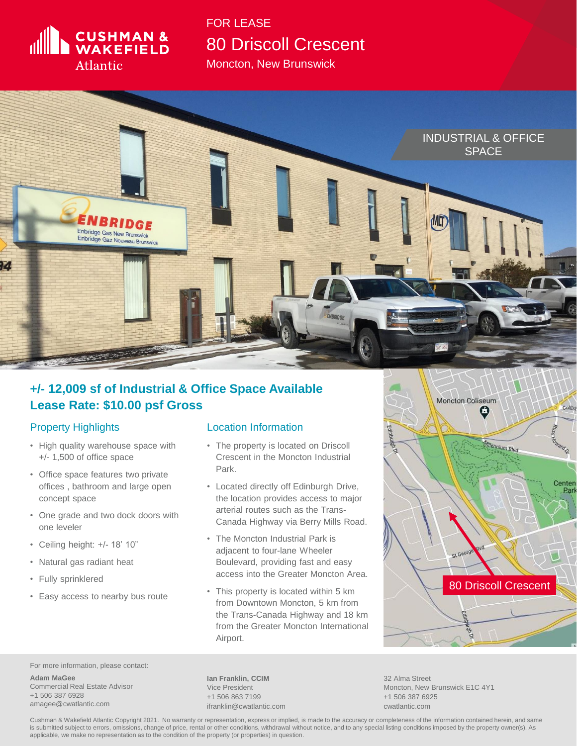

Moncton, New Brunswick



## **+/- 12,009 sf of Industrial & Office Space Available Lease Rate: \$10.00 psf Gross**

## Property Highlights

- High quality warehouse space with +/- 1,500 of office space
- Office space features two private offices , bathroom and large open concept space
- One grade and two dock doors with one leveler
- Ceiling height: +/- 18' 10"
- Natural gas radiant heat
- Fully sprinklered
- Easy access to nearby bus route

## Location Information

- The property is located on Driscoll Crescent in the Moncton Industrial Park.
- Located directly off Edinburgh Drive, the location provides access to major arterial routes such as the Trans-Canada Highway via Berry Mills Road.
- The Moncton Industrial Park is adjacent to four-lane Wheeler Boulevard, providing fast and easy access into the Greater Moncton Area.
- This property is located within 5 km from Downtown Moncton, 5 km from the Trans-Canada Highway and 18 km from the Greater Moncton International Airport.



For more information, please contact:

**Adam MaGee** Commercial Real Estate Advisor +1 506 387 6928 amagee@cwatlantic.com

**Ian Franklin, CCIM** Vice President +1 506 863 7199 ifranklin@cwatlantic.com

32 Alma Street Moncton, New Brunswick E1C 4Y1 +1 506 387 6925 cwatlantic.com

Cushman & Wakefield Atlantic Copyright 2021. No warranty or representation, express or implied, is made to the accuracy or completeness of the information contained herein, and same is submitted subject to errors, omissions, change of price, rental or other conditions, withdrawal without notice, and to any special listing conditions imposed by the property owner(s). As applicable, we make no representation as to the condition of the property (or properties) in question.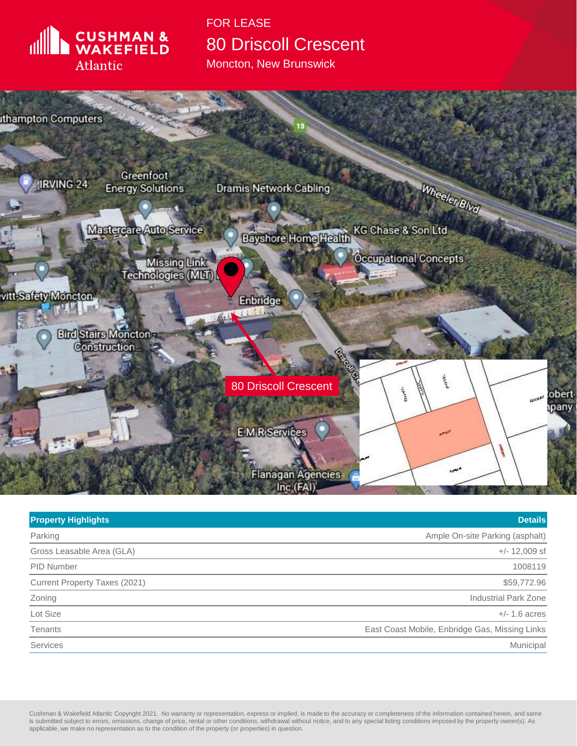

Moncton, New Brunswick



| <b>Property Highlights</b>    | <b>Details</b>                                 |
|-------------------------------|------------------------------------------------|
| Parking                       | Ample On-site Parking (asphalt)                |
| Gross Leasable Area (GLA)     | $+/- 12,009$ sf                                |
| <b>PID Number</b>             | 1008119                                        |
| Current Property Taxes (2021) | \$59,772.96                                    |
| Zoning                        | <b>Industrial Park Zone</b>                    |
| Lot Size                      | $+/- 1.6$ acres                                |
| Tenants                       | East Coast Mobile, Enbridge Gas, Missing Links |
| <b>Services</b>               | Municipal                                      |

Cushman & Wakefield Atlantic Copyright 2021. No warranty or representation, express or implied, is made to the accuracy or completeness of the information contained herein, and same is submitted subject to errors, omissions, change of price, rental or other conditions, withdrawal without notice, and to any special listing conditions imposed by the property owner(s). As applicable, we make no representation as to the condition of the property (or properties) in question.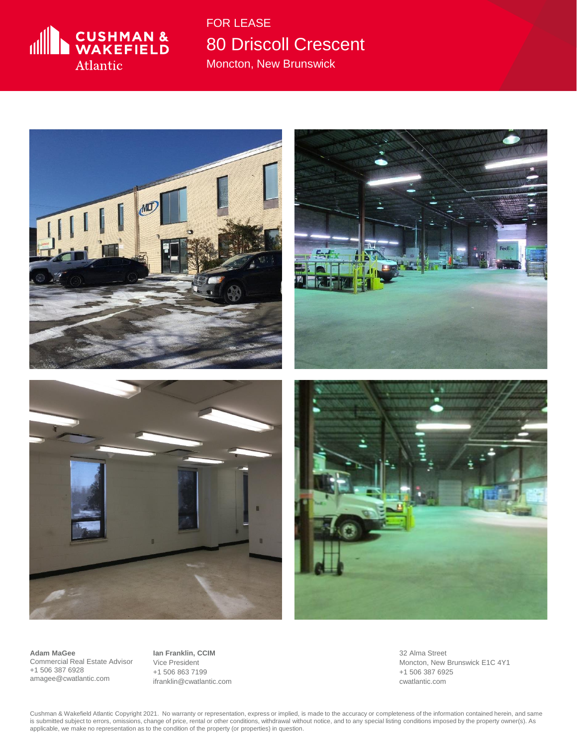

Moncton, New Brunswick



**Adam MaGee** Commercial Real Estate Advisor +1 506 387 6928 amagee@cwatlantic.com

**Ian Franklin, CCIM** Vice President +1 506 863 7199 ifranklin@cwatlantic.com 32 Alma Street Moncton, New Brunswick E1C 4Y1 +1 506 387 6925 cwatlantic.com

Cushman & Wakefield Atlantic Copyright 2021. No warranty or representation, express or implied, is made to the accuracy or completeness of the information contained herein, and same is submitted subject to errors, omissions, change of price, rental or other conditions, withdrawal without notice, and to any special listing conditions imposed by the property owner(s). As applicable, we make no representation as to the condition of the property (or properties) in question.